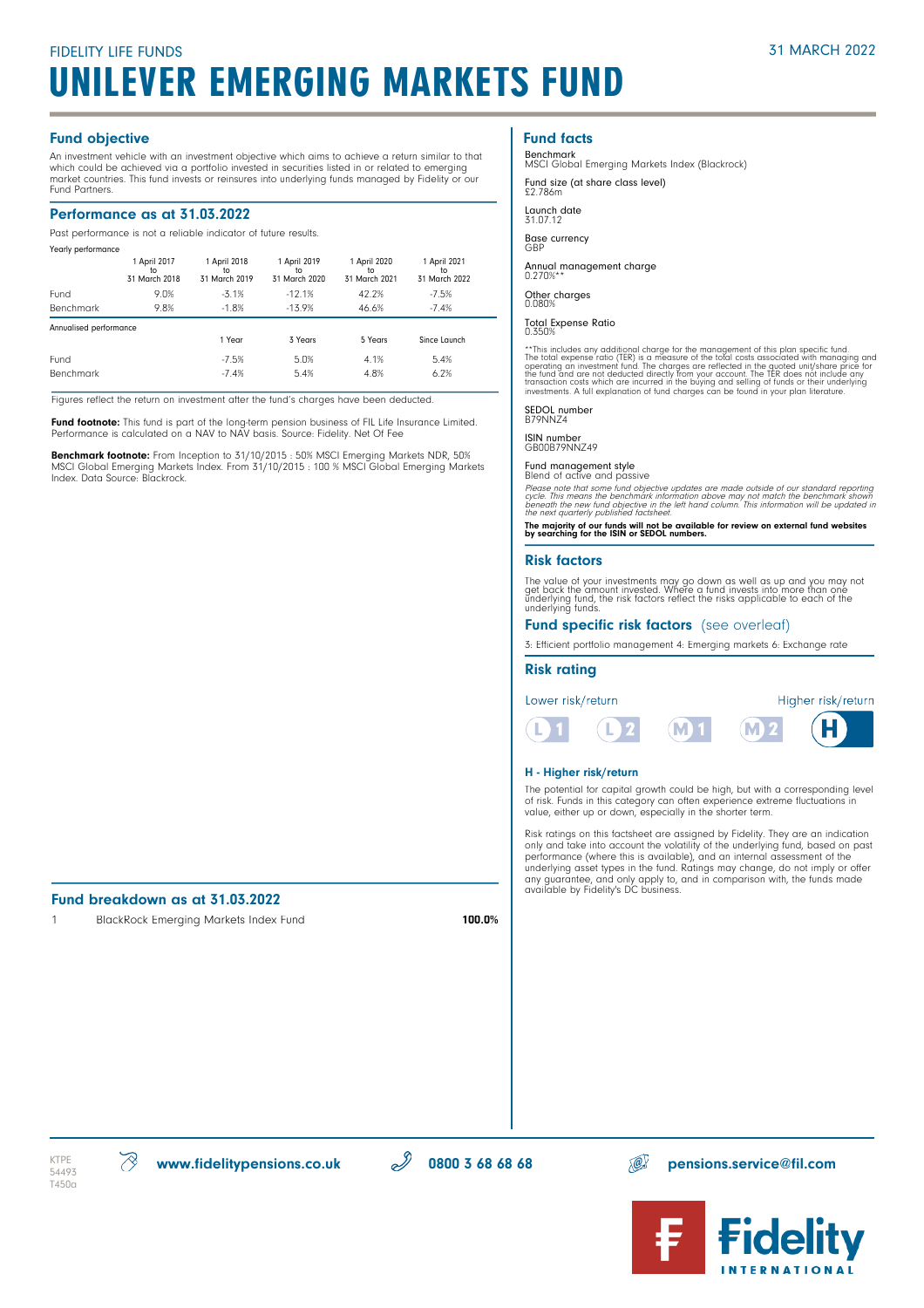### Fund objective

An investment vehicle with an investment objective which aims to achieve a return similar to that which could be achieved via a portfolio invested in securities listed in or related to emerging market countries. This fund invests or reinsures into underlying funds managed by Fidelity or our Fund Partners.

### Performance as at 31.03.2022

Past performance is not a reliable indicator of future results.

| Yearly performance     |                                      |                                     |                                     |                                     |                                     |  |
|------------------------|--------------------------------------|-------------------------------------|-------------------------------------|-------------------------------------|-------------------------------------|--|
|                        | 1 April 2017<br>to.<br>31 March 2018 | 1 April 2018<br>to<br>31 March 2019 | 1 April 2019<br>to<br>31 March 2020 | 1 April 2020<br>to<br>31 March 2021 | 1 April 2021<br>to<br>31 March 2022 |  |
| Fund                   | 9.0%                                 | $-3.1%$                             | $-12.1%$                            | 42.2%                               | $-7.5%$                             |  |
| Benchmark              | 9.8%                                 | $-1.8%$                             | $-13.9%$                            | 46.6%                               | $-7.4%$                             |  |
| Annualised performance |                                      |                                     |                                     |                                     |                                     |  |
|                        |                                      | 1 Year                              | 3 Years                             | 5 Years                             | Since Launch                        |  |
| Fund                   |                                      | $-7.5%$                             | 5.0%                                | 4.1%                                | 5.4%                                |  |
| <b>Benchmark</b>       |                                      | $-7.4%$                             | 5.4%                                | 4.8%                                | 6.2%                                |  |

Figures reflect the return on investment after the fund's charges have been deducted.

**Fund footnote:** This fund is part of the long-term pension business of FIL Life Insurance Limited.<br>Performance is calculated on a NAV to NAV basis. Source: Fidelity. Net Of Fee

**Benchmark footnote:** From Inception to 31/10/2015 : 50% MSCI Emerging Markets NDR, 50%<br>MSCI Global Emerging Markets Index. From 31/10/2015 : 100 % MSCI Global Emerging Markets Index. Data Source: Blackrock.

# Fund breakdown as at 31.03.2022

1 BlackRock Emerging Markets Index Fund 100.0%

# Fund facts

Benchmark MSCI Global Emerging Markets Index (Blackrock)

Fund size (at share class level) £2.786m

Launch date 31.07.12

Base currency GBP

Annual management charge 0.270%\*\*

Other charges 0.080%

Total Expense Ratio 0.350%

\*\*This includes any additional charge for the management of this plan specific fund.<br>The total expense ratio (TER) is a measure of the tolal costs associated with managing and<br>operating an investment fund. The charges are

SEDOL number B79NNZ4

ISIN number GB00B79NNZ49

# Fund management style Blend of active and passive

Please note that some fund objective updates are made outside of our standard reporting<br>cycle. This means the benchmark information above may not match the benchmark shown<br>beneath the new fund objective in the left hand co

The majority of our funds will not be available for review on external fund websites by searching for the ISIN or SEDOL numbers.

#### Risk factors

The value of your investments may go down as well as up and you may not<br>get back the amount invested. Where a fund invests into more than one<br>underlying fund, the risk factors reflect the risks applicable to each of the<br>un

#### Fund specific risk factors (see overleaf)

3: Efficient portfolio management 4: Emerging markets 6: Exchange rate

#### Risk rating



#### H - Higher risk/return

The potential for capital growth could be high, but with a corresponding level of risk. Funds in this category can often experience extreme fluctuations in value, either up or down, especially in the shorter term.

Risk ratings on this factsheet are assigned by Fidelity. They are an indication only and take into account the volatility of the underlying fund, based on past performance (where this is available), and an internal assessment of the underlying asset types in the fund. Ratings may change, do not imply or offer any guarantee, and only apply to, and in comparison with, the funds made available by Fidelity's DC business.

T450a

 $\text{KTE} \quad \text{W}$  www.fidelitypensions.co.uk  $\mathscr{D}$  0800 3 68 68 68 pensions.service@fil.com

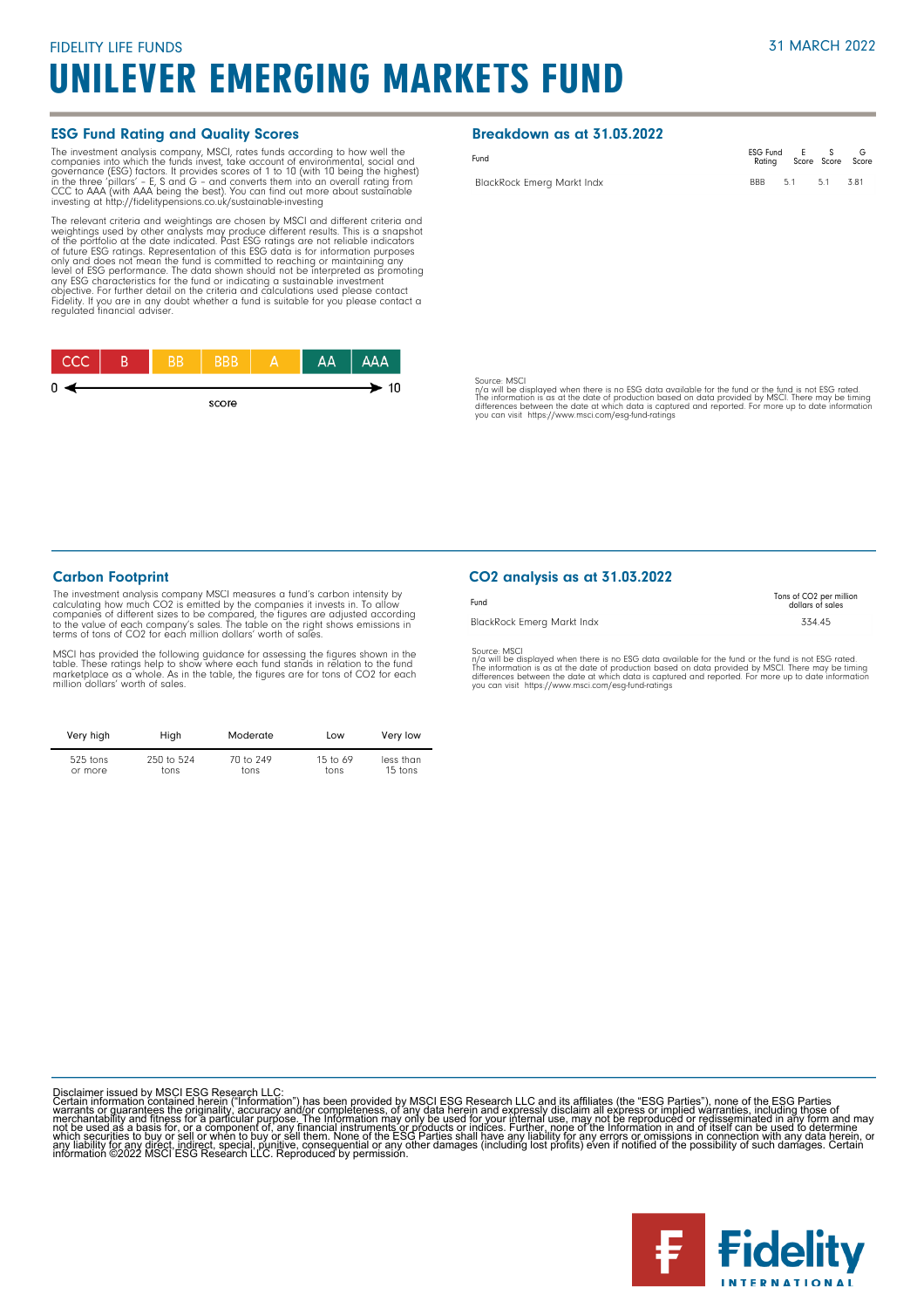#### ESG Fund Rating and Quality Scores

The investment analysis company, MSCI, rates funds according to how well the forepanies into which the funds invest, take account of environmental, social and governance (ESG) factors. It provides scores of 1 to 10 (with 1

The relevant criteria and weightings are chosen by MSCI and different criteria and<br>weightings used by other analysts may produce different results. This is a snapshot<br>of the po<u>rtfo</u>lio at the date indicated. Past ESG rati of tuture ESG ratings. Representation of this ESG data is for information purposes<br>only and does not mean the fund is committed to reaching or maintaining any<br>level of ESG performance. The data shown should not be interpre



### Breakdown as at 31.03.2022

| Fund                              | ESG Fund E S<br>Rating Score Score Score |  |     |     |
|-----------------------------------|------------------------------------------|--|-----|-----|
| <b>BlackRock Emerg Markt Indx</b> | BBB 5.1                                  |  | 5.1 | 381 |

Source: MSCI

n/a will be displayed when there is no ESG data available for the fund or the fund is not ESG rated.<br>The information is as at the date of production based on data provided by MSCI. There may be timing<br>differences between t

### Carbon Footprint

The investment analysis company MSCI measures a fund's carbon intensity by calculating how much CO2 is emitted by the companies it invests in. To allow<br>companies of different sizes to be compared, the figures are adjusted according<br>to the value of each company's sales. The table on the right show terms of tons of CO2 for each million dollars' worth of sales.

MSCI has provided the following guidance for assessing the figures shown in the<br>table. These ratings help to show where each fund stands in relation to the fund<br>marketplace as a whole. As in the table, the figures are for

| Very high  | High       | Moderate  | Low        | Very low  |
|------------|------------|-----------|------------|-----------|
| $525$ tons | 250 to 524 | 70 to 249 | 15 to $69$ | less than |
| or more    | tons       | tons      | tons       | 15 tons   |

### CO2 analysis as at 31.03.2022

| Fund                       | Tons of CO <sub>2</sub> per million<br>dollars of sales |
|----------------------------|---------------------------------------------------------|
| BlackRock Emerg Markt Indx | 334.45                                                  |
| Source: MSCI               |                                                         |

Source: MSCI<br>ny'a will be displayed when there is no ESG data available for the fund or the fund is not ESG rated.<br>The information is as at the date of production based on data provided by MSCI. There may be timing<br>differe

Disclaimer issued by MSCI ESG Research LLC:<br>Certain information contained herein ("Information") has been provided by MSCI ESG Research LLC and its affiliates (the "ESG Parties"), none of the ESG Parties<br>Certain informatio

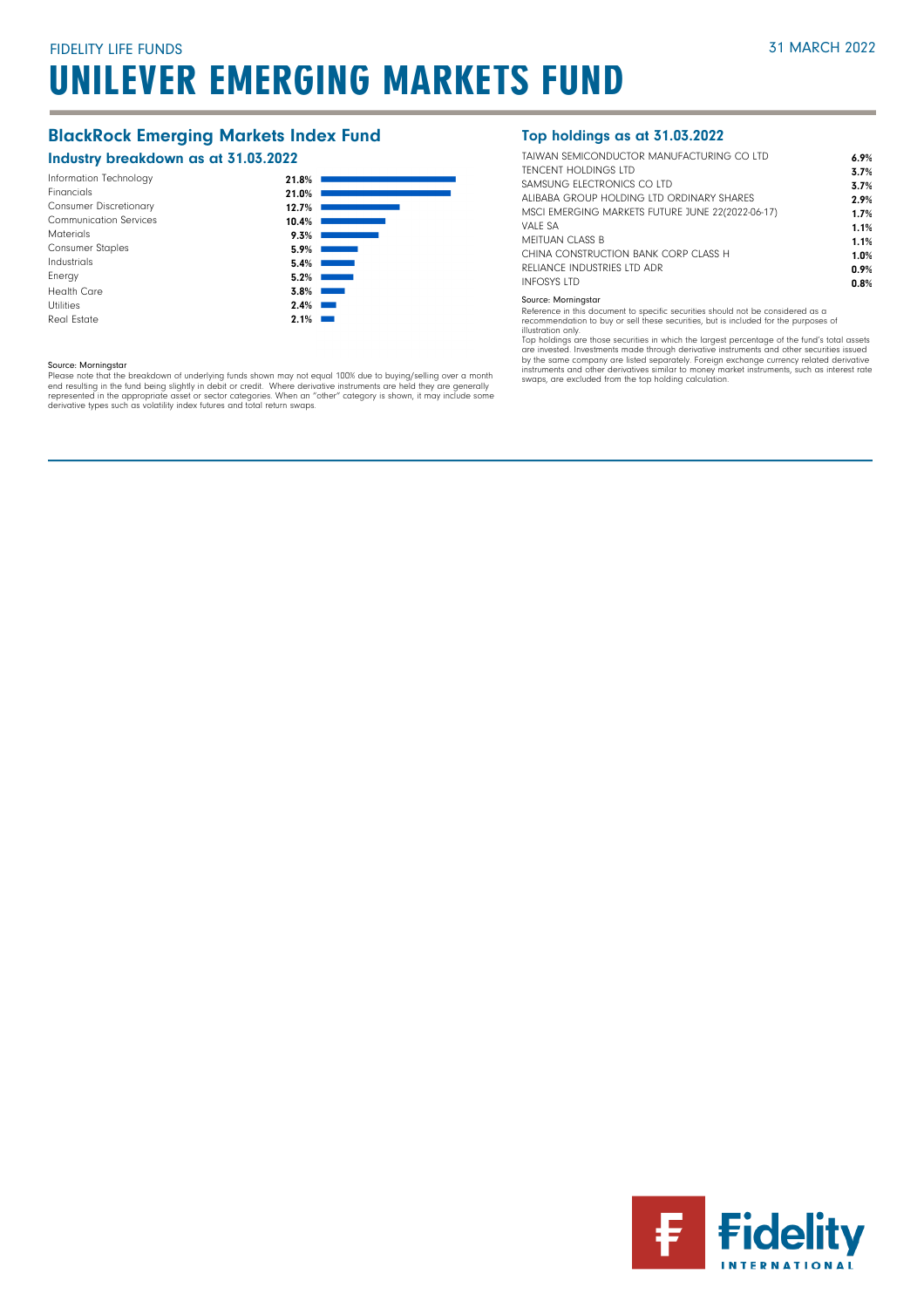# BlackRock Emerging Markets Index Fund

## Industry breakdown as at 31.03.2022

| 21.8% |
|-------|
| 21.0% |
| 12.7% |
| 10.4% |
| 9.3%  |
| 5.9%  |
| 5.4%  |
| 5.2%  |
| 3.8%  |
| 2.4%  |
| 2.1%  |
|       |

#### Source: Morningstar

Please note that the breakdown of underlying funds shown may not equal 100% due to buying/selling over a month<br>end resulting in the fund being slightly in debit or credit. Where derivative instruments are held they are gen

## Top holdings as at 31.03.2022

| TAIWAN SEMICONDUCTOR MANUFACTURING CO LTD        | 6.9% |
|--------------------------------------------------|------|
| <b>TENCENT HOLDINGS LTD</b>                      | 3.7% |
| SAMSUNG FLECTRONICS CO LTD                       | 3.7% |
| ALIBABA GROUP HOLDING LTD ORDINARY SHARES        | 2.9% |
| MSCI EMERGING MARKETS FUTURE JUNE 22(2022-06-17) | 1.7% |
| VALF SA                                          | 1.1% |
| MEITUAN CLASS B                                  | 1.1% |
| CHINA CONSTRUCTION BANK CORP CLASS H             | 1.0% |
| RELIANCE INDUSTRIES LTD ADR                      | 0.9% |
| <b>INFOSYS LTD</b>                               | 0.8% |
|                                                  |      |

#### Source: Morningstar

Reference in this document to specific securities should not be considered as a recommendation to buy or sell these securities, but is included for the purposes of illustration only.

Top holdings are those securities in which the largest percentage of the fund's total assets are invested. Investments made through derivative instruments and other securities issued by the same company are listed separately. Foreign exchange currency related derivative<br>instruments and other derivatives similar to money market instruments, such as interest rate<br>swaps, are excluded from the top holding